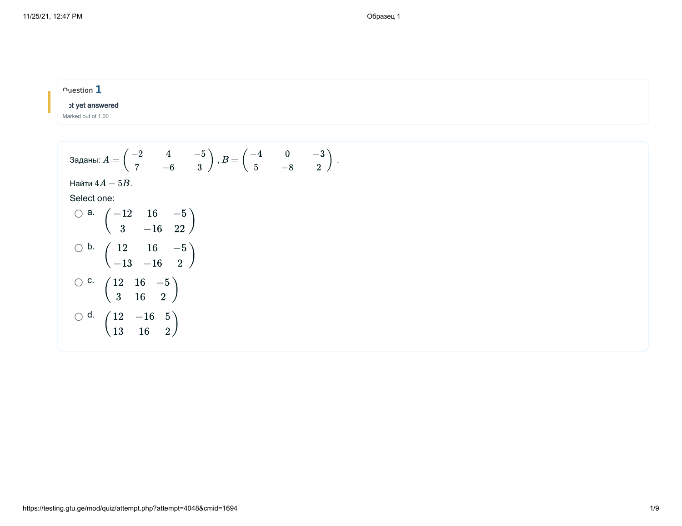| $\sim$ uestion $\mathbf 1$ |  |  |  |
|----------------------------|--|--|--|
| ot yet answered            |  |  |  |
| Marked out of 1.00         |  |  |  |

2

3aqaHbl: 
$$
A = \begin{pmatrix} -2 & 4 & -5 \\ 7 & -6 & 3 \end{pmatrix}, B = \begin{pmatrix} -4 & 0 & -3 \\ 5 & -8 & 2 \end{pmatrix}.
$$

\nHaŭtu 4A – 5B.

\nSelect one:

\n0 a.  $\begin{pmatrix} -12 & 16 & -5 \\ 3 & -16 & 22 \end{pmatrix}$ 

\n0 b.  $\begin{pmatrix} 12 & 16 & -5 \\ -13 & -16 & 2 \end{pmatrix}$ 

\n0 c.  $\begin{pmatrix} 12 & 16 & -5 \\ 3 & 16 & 2 \end{pmatrix}$ 

\n0 d.  $\begin{pmatrix} 12 & -16 & 5 \\ 13 & 16 & 2 \end{pmatrix}$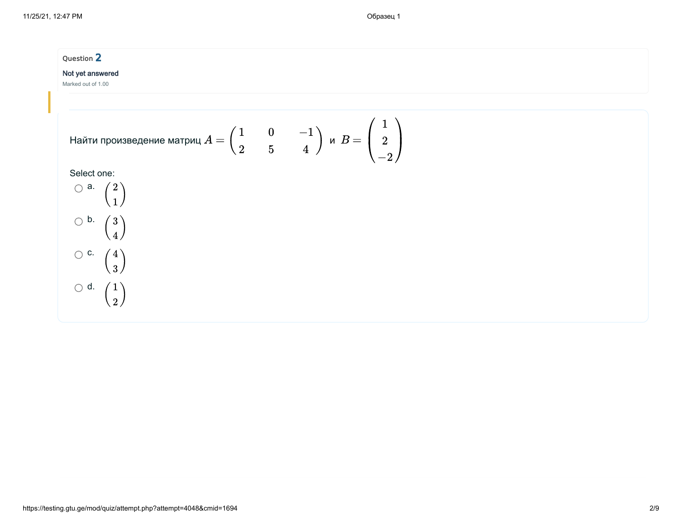## Question 2

#### Not yet answered

Marked out of 1.00

Найти произведение матриц 
$$
A = \begin{pmatrix} 1 & 0 & -1 \\ 2 & 5 & 4 \end{pmatrix}
$$
 и  $B = \begin{pmatrix} 1 \\ 2 \\ -2 \end{pmatrix}$ 

Select one:

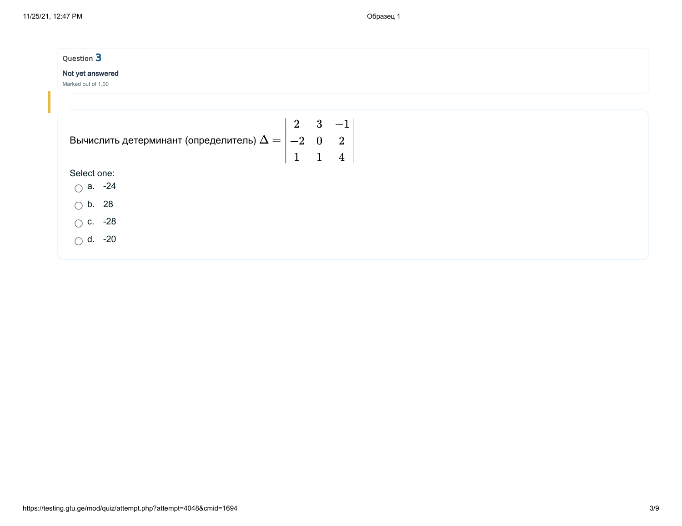| Question 3<br>Not yet answered<br>Marked out of 1.00                                                              |  |
|-------------------------------------------------------------------------------------------------------------------|--|
| Вычислить детерминант (определитель) $\Delta = \begin{vmatrix} 2 & 3 & -1 \ -2 & 0 & 2 \ 1 & 1 & 4 \end{vmatrix}$ |  |
| Select one:<br>$\bigcirc$ a. -24                                                                                  |  |
| $\bigcirc$ b. 28<br>$\circ$ c. -28<br>$\bigcap$ d. -20                                                            |  |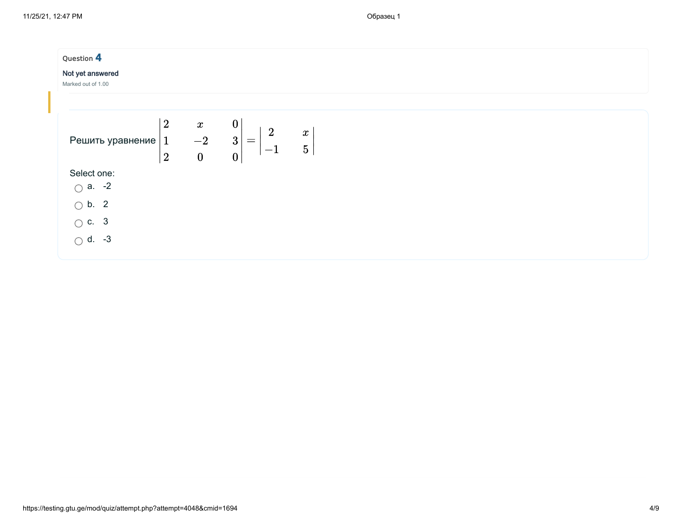| Question 4<br>Not yet answered<br>Marked out of 1.00            |                                              |                                                                                                          |                             |  |  |
|-----------------------------------------------------------------|----------------------------------------------|----------------------------------------------------------------------------------------------------------|-----------------------------|--|--|
| $\sqrt{2}$<br>$\mathbf{1}$<br>Решить уравнение<br>$^{\prime}$ 2 | $\boldsymbol{x}$<br>$-2$<br>$\boldsymbol{0}$ | $\boldsymbol{0}$<br>$\overline{2}$<br>$\overline{3}$<br>$\!\!\!=\!\!\!\!$<br>1<br>$-1$<br>$\overline{0}$ | $\pmb{x}$<br>$\overline{5}$ |  |  |
| Select one:                                                     |                                              |                                                                                                          |                             |  |  |
| $\bigcirc$ a. -2                                                |                                              |                                                                                                          |                             |  |  |
| $\bigcirc$ b. 2                                                 |                                              |                                                                                                          |                             |  |  |
| $\bigcirc$ c. 3                                                 |                                              |                                                                                                          |                             |  |  |
| $\bigcirc$ d. -3                                                |                                              |                                                                                                          |                             |  |  |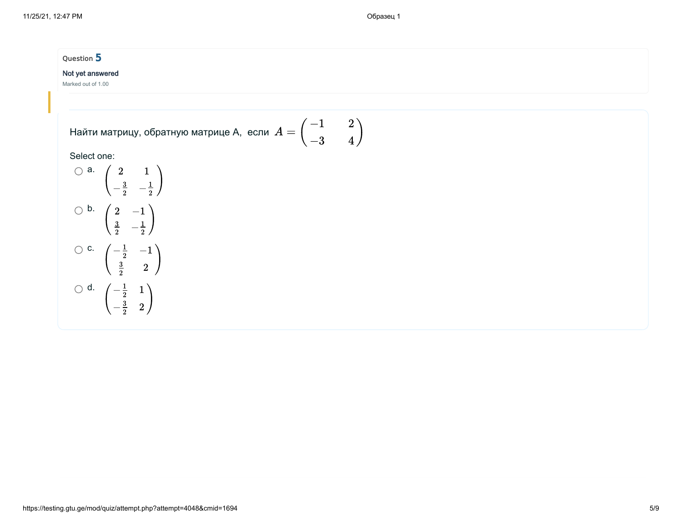#### Question 5

#### Not yet answered

Marked out of 1.00

Найти матрицу, обратную матрице А, если 
$$
A=\begin{pmatrix} -1 & 2 \\ -3 & 4 \end{pmatrix}
$$

#### Select one:

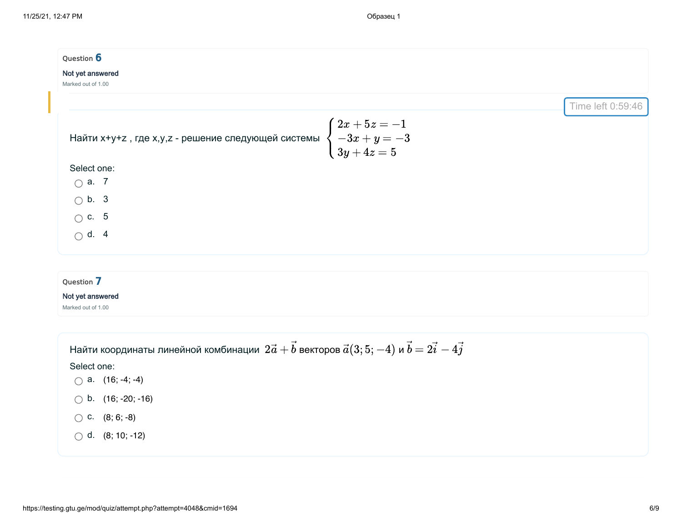| Question 6                                                                                                                |                   |
|---------------------------------------------------------------------------------------------------------------------------|-------------------|
| Not yet answered                                                                                                          |                   |
| Marked out of 1.00                                                                                                        |                   |
|                                                                                                                           | Time left 0:59:46 |
| Найти х+у+z , где x,y,z - решение следующей системы $\begin{cases} 2x + 5z = -1 \ -3x + y = -3 \ 3y + 4z = 5 \end{cases}$ |                   |
| Select one:                                                                                                               |                   |
| $\bigcirc$ a. 7                                                                                                           |                   |
| $\bigcirc$ b. 3                                                                                                           |                   |
| $\bigcirc$ c. 5                                                                                                           |                   |
| $\bigcirc$ d. 4                                                                                                           |                   |
| Question 7                                                                                                                |                   |
| Not yet answered<br>Marked out of 1.00                                                                                    |                   |
| Найти координаты линейной комбинации $\ 2\vec a+\vec b$ векторов $\vec a(3;5;-4)$ и $\vec b=2\vec i-4\vec j$              |                   |
| Select one:                                                                                                               |                   |
| $\bigcirc$ a. (16; -4; -4)                                                                                                |                   |
| $\bigcirc$ b. (16; -20; -16)                                                                                              |                   |
| $\bigcirc$ C. (8; 6; -8)                                                                                                  |                   |

d. (8; 10; -12)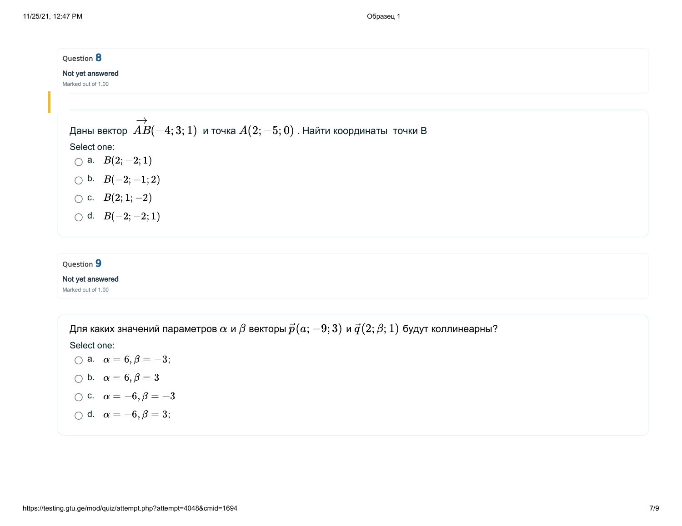| Question 8                                                                                           |  |  |  |
|------------------------------------------------------------------------------------------------------|--|--|--|
| Not yet answered                                                                                     |  |  |  |
| Marked out of 1.00                                                                                   |  |  |  |
|                                                                                                      |  |  |  |
| Даны вектор $\stackrel{\longrightarrow}{AB}(-4;3;1)$ и точка $A(2;-5;0)$ . Найти координаты  точки В |  |  |  |
|                                                                                                      |  |  |  |
| Select one:                                                                                          |  |  |  |
| $\bigcirc$ a. $B(2;-2;1)$                                                                            |  |  |  |
| $\bigcirc$ b. $B(-2;-1;2)$                                                                           |  |  |  |
| $\bigcirc$ c. $B(2;1;-2)$                                                                            |  |  |  |
| $\bigcirc$ d. $B(-2;-2;1)$                                                                           |  |  |  |
|                                                                                                      |  |  |  |

### Question 9

#### Not yet answered

Marked out of 1.00

Для каких значений параметров  $\alpha$  и  $\beta$  векторы  $\vec{p}(a;-9;3)$  и  $\vec{q}(2;\beta;1)$  будут коллинеарны?

Select one:

a.  $\alpha = 6, \beta = -3;$ b.  $\alpha = 6, \beta = 3$ 

$$
\bigcirc \text{ c. } \alpha = -6, \beta = -3
$$

$$
\bigcirc \, d. \quad \alpha=-6, \beta=3;
$$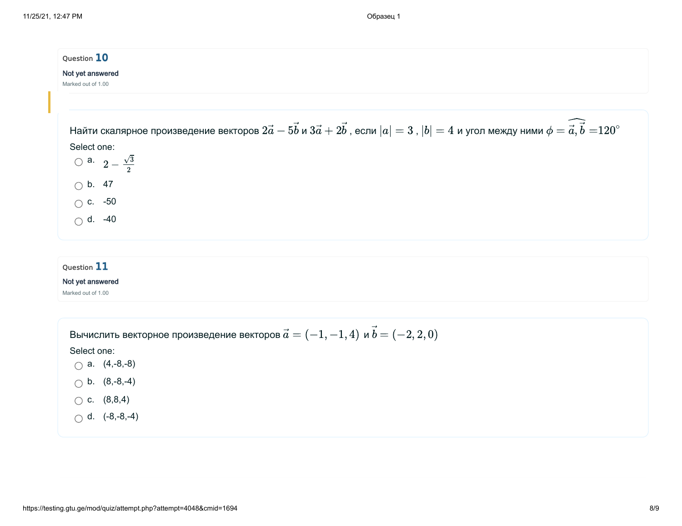